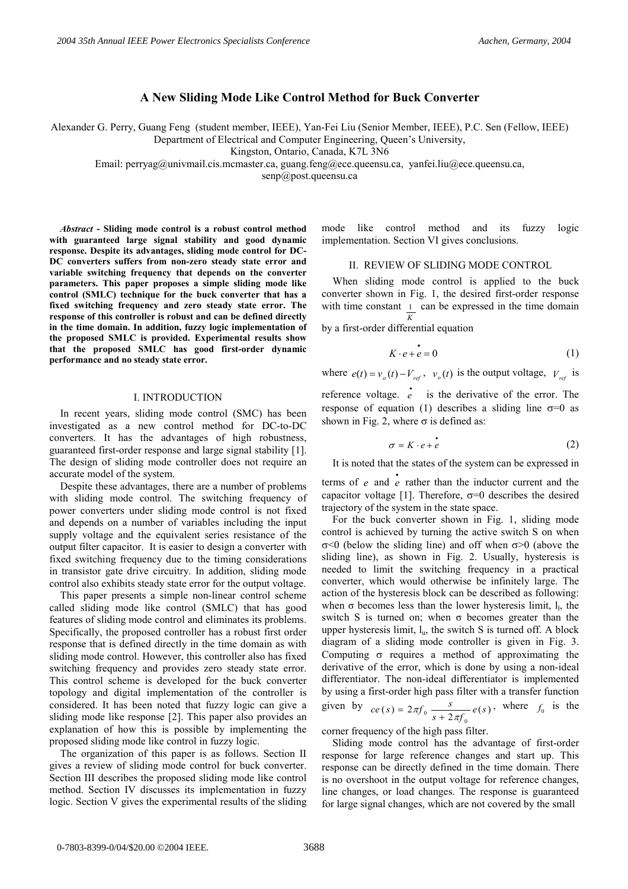# **A New Sliding Mode Like Control Method for Buck Converter**

Alexander G. Perry, Guang Feng (student member, IEEE), Yan-Fei Liu (Senior Member, IEEE), P.C. Sen (Fellow, IEEE)

Department of Electrical and Computer Engineering, Queen's University,

Kingston, Ontario, Canada, K7L 3N6

Email: perryag@univmail.cis.mcmaster.ca, guang.feng@ece.queensu.ca, yanfei.liu@ece.queensu.ca,

senp@post.queensu.ca

*Abstract* **- Sliding mode control is a robust control method with guaranteed large signal stability and good dynamic response. Despite its advantages, sliding mode control for DC-DC converters suffers from non-zero steady state error and variable switching frequency that depends on the converter parameters. This paper proposes a simple sliding mode like control (SMLC) technique for the buck converter that has a fixed switching frequency and zero steady state error. The response of this controller is robust and can be defined directly in the time domain. In addition, fuzzy logic implementation of the proposed SMLC is provided. Experimental results show that the proposed SMLC has good first-order dynamic performance and no steady state error.** 

## I. INTRODUCTION

In recent years, sliding mode control (SMC) has been investigated as a new control method for DC-to-DC converters. It has the advantages of high robustness, guaranteed first-order response and large signal stability [1]. The design of sliding mode controller does not require an accurate model of the system.

Despite these advantages, there are a number of problems with sliding mode control. The switching frequency of power converters under sliding mode control is not fixed and depends on a number of variables including the input supply voltage and the equivalent series resistance of the output filter capacitor. It is easier to design a converter with fixed switching frequency due to the timing considerations in transistor gate drive circuitry. In addition, sliding mode control also exhibits steady state error for the output voltage.

This paper presents a simple non-linear control scheme called sliding mode like control (SMLC) that has good features of sliding mode control and eliminates its problems. Specifically, the proposed controller has a robust first order response that is defined directly in the time domain as with sliding mode control. However, this controller also has fixed switching frequency and provides zero steady state error. This control scheme is developed for the buck converter topology and digital implementation of the controller is considered. It has been noted that fuzzy logic can give a sliding mode like response [2]. This paper also provides an explanation of how this is possible by implementing the proposed sliding mode like control in fuzzy logic.

The organization of this paper is as follows. Section II gives a review of sliding mode control for buck converter. Section III describes the proposed sliding mode like control method. Section IV discusses its implementation in fuzzy logic. Section V gives the experimental results of the sliding mode like control method and its fuzzy logic implementation. Section VI gives conclusions.

#### II. REVIEW OF SLIDING MODE CONTROL

When sliding mode control is applied to the buck converter shown in Fig. 1, the desired first-order response with time constant *K* 1 can be expressed in the time domain

by a first-order differential equation

$$
K \cdot e + e = 0 \tag{1}
$$

where  $e(t) = v_o(t) - V_{ref}$ ,  $v_o(t)$  is the output voltage,  $V_{ref}$  is

reference voltage.  $\dot{e}$  is the derivative of the error. The response of equation (1) describes a sliding line  $\sigma=0$  as shown in Fig. 2, where  $\sigma$  is defined as:

$$
\sigma = K \cdot e + e \tag{2}
$$

It is noted that the states of the system can be expressed in

terms of *e* and *e* rather than the inductor current and the capacitor voltage [1]. Therefore,  $\sigma=0$  describes the desired trajectory of the system in the state space.

For the buck converter shown in Fig. 1, sliding mode control is achieved by turning the active switch S on when  $\sigma$ <0 (below the sliding line) and off when  $\sigma$ >0 (above the sliding line), as shown in Fig. 2. Usually, hysteresis is needed to limit the switching frequency in a practical converter, which would otherwise be infinitely large. The action of the hysteresis block can be described as following: when  $\sigma$  becomes less than the lower hysteresis limit,  $l_1$ , the switch S is turned on; when  $\sigma$  becomes greater than the upper hysteresis limit,  $l_{\text{u}}$ , the switch S is turned off. A block diagram of a sliding mode controller is given in Fig. 3. Computing  $\sigma$  requires a method of approximating the derivative of the error, which is done by using a non-ideal differentiator. The non-ideal differentiator is implemented by using a first-order high pass filter with a transfer function given by  $ce(s) = 2\pi f_0 \frac{s}{s + 2\pi f_0} e(s)$ , where  $f_0$  is the

corner frequency of the high pass filter.

Sliding mode control has the advantage of first-order response for large reference changes and start up. This response can be directly defined in the time domain. There is no overshoot in the output voltage for reference changes, line changes, or load changes. The response is guaranteed for large signal changes, which are not covered by the small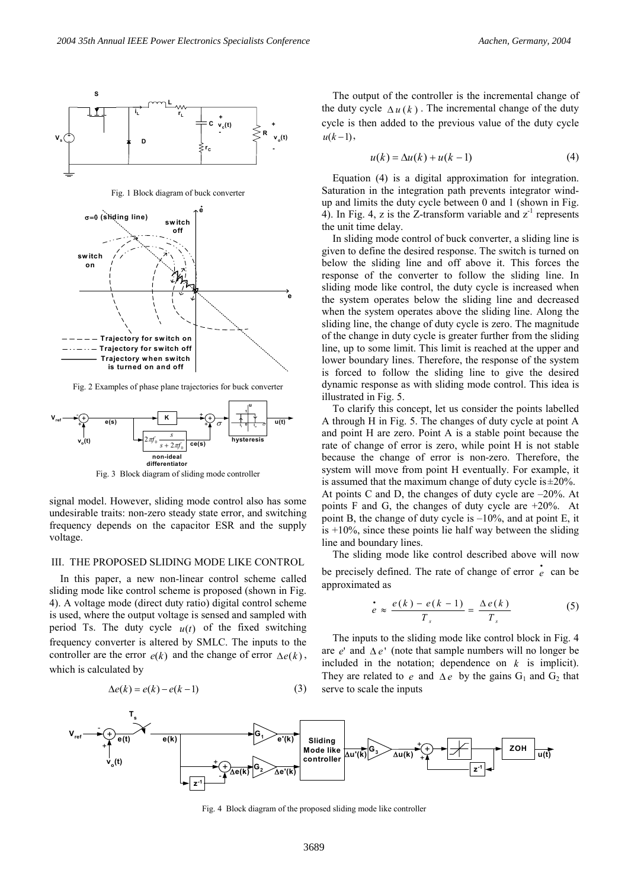

Fig. 2 Examples of phase plane trajectories for buck converter



Fig. 3 Block diagram of sliding mode controller

signal model. However, sliding mode control also has some undesirable traits: non-zero steady state error, and switching frequency depends on the capacitor ESR and the supply voltage.

#### III. THE PROPOSED SLIDING MODE LIKE CONTROL

In this paper, a new non-linear control scheme called sliding mode like control scheme is proposed (shown in Fig. 4). A voltage mode (direct duty ratio) digital control scheme is used, where the output voltage is sensed and sampled with period Ts. The duty cycle  $u(t)$  of the fixed switching frequency converter is altered by SMLC. The inputs to the controller are the error  $e(k)$  and the change of error  $\Delta e(k)$ , which is calculated by

$$
\Delta e(k) = e(k) - e(k-1) \tag{3}
$$

The output of the controller is the incremental change of the duty cycle  $\Delta u(k)$ . The incremental change of the duty cycle is then added to the previous value of the duty cycle  $u(k-1)$ ,

$$
u(k) = \Delta u(k) + u(k-1)
$$
 (4)

Equation (4) is a digital approximation for integration. Saturation in the integration path prevents integrator windup and limits the duty cycle between 0 and 1 (shown in Fig. 4). In Fig. 4, z is the Z-transform variable and  $z^{-1}$  represents the unit time delay.

In sliding mode control of buck converter, a sliding line is given to define the desired response. The switch is turned on below the sliding line and off above it. This forces the response of the converter to follow the sliding line. In sliding mode like control, the duty cycle is increased when the system operates below the sliding line and decreased when the system operates above the sliding line. Along the sliding line, the change of duty cycle is zero. The magnitude of the change in duty cycle is greater further from the sliding line, up to some limit. This limit is reached at the upper and lower boundary lines. Therefore, the response of the system is forced to follow the sliding line to give the desired dynamic response as with sliding mode control. This idea is illustrated in Fig. 5.

To clarify this concept, let us consider the points labelled A through H in Fig. 5. The changes of duty cycle at point A and point H are zero. Point A is a stable point because the rate of change of error is zero, while point H is not stable because the change of error is non-zero. Therefore, the system will move from point H eventually. For example, it is assumed that the maximum change of duty cycle is  $\pm 20\%$ . At points C and D, the changes of duty cycle are –20%. At points F and G, the changes of duty cycle are +20%. At point B, the change of duty cycle is –10%, and at point E, it  $is +10\%$ , since these points lie half way between the sliding line and boundary lines.

The sliding mode like control described above will now

be precisely defined. The rate of change of error *e* can be approximated as

$$
\dot{e} \approx \frac{e(k) - e(k-1)}{T_s} = \frac{\Delta e(k)}{T_s} \tag{5}
$$

The inputs to the sliding mode like control block in Fig. 4 are  $e'$  and  $\Delta e'$  (note that sample numbers will no longer be included in the notation; dependence on  $k$  is implicit). They are related to *e* and  $\Delta e$  by the gains  $G_1$  and  $G_2$  that serve to scale the inputs



Fig. 4 Block diagram of the proposed sliding mode like controller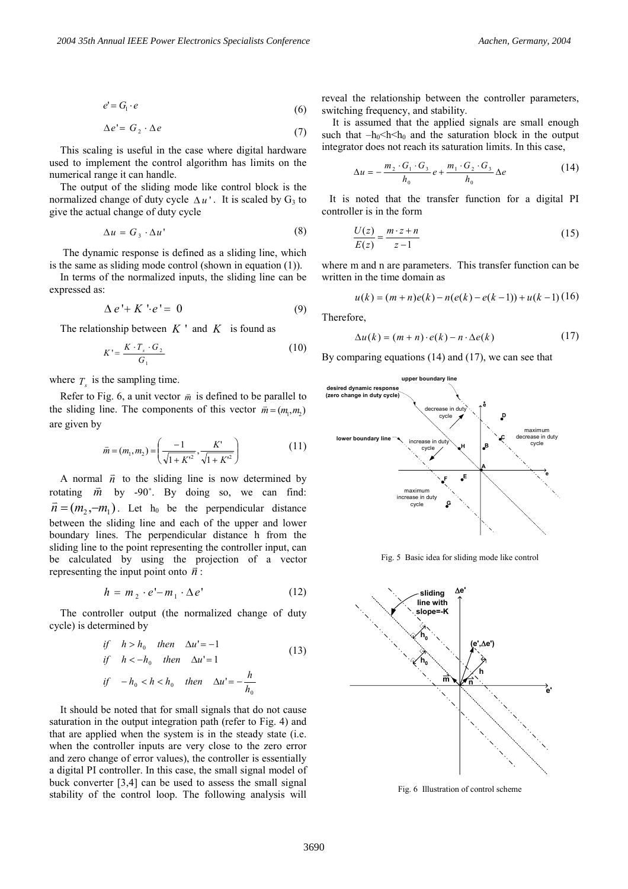$$
e' = G_1 \cdot e \tag{6}
$$

$$
\Delta e' = G_2 \cdot \Delta e \tag{7}
$$

This scaling is useful in the case where digital hardware used to implement the control algorithm has limits on the numerical range it can handle.

The output of the sliding mode like control block is the normalized change of duty cycle  $\Delta u'$ . It is scaled by  $G_3$  to give the actual change of duty cycle

$$
\Delta u = G_3 \cdot \Delta u' \tag{8}
$$

 The dynamic response is defined as a sliding line, which is the same as sliding mode control (shown in equation (1)).

In terms of the normalized inputs, the sliding line can be expressed as:

$$
\Delta e' + K' \cdot e' = 0 \tag{9}
$$

The relationship between  $K'$  and  $K'$  is found as

$$
K' = \frac{K \cdot T_s \cdot G_2}{G_1} \tag{10}
$$

where  $T<sub>s</sub>$  is the sampling time.

Refer to Fig. 6, a unit vector  $\vec{m}$  is defined to be parallel to the sliding line. The components of this vector  $\vec{m} = (m_1, m_2)$ are given by

$$
\bar{m} = (m_1, m_2) = \left(\frac{-1}{\sqrt{1 + K'^2}}, \frac{K'}{\sqrt{1 + K'^2}}\right) \tag{11}
$$

A normal  $\vec{n}$  to the sliding line is now determined by A hormal *n* to the shang line is now determined by rotating  $\vec{m}$  by -90°. By doing so, we can find:  $\vec{n} = (m_2, -m_1)$ . Let h<sub>0</sub> be the perpendicular distance between the sliding line and each of the upper and lower boundary lines. The perpendicular distance h from the sliding line to the point representing the controller input, can be calculated by using the projection of a vector be calculated by using the pro-

$$
h = m_2 \cdot e' - m_1 \cdot \Delta e'
$$
 (12)

The controller output (the normalized change of duty cycle) is determined by

$$
if \quad h > h_0 \quad then \quad \Delta u' = -1
$$
  

$$
if \quad h < -h_0 \quad then \quad \Delta u' = 1
$$
  

$$
if \quad -h_0 < h < h_0 \quad then \quad \Delta u' = -\frac{h}{h_0}
$$
 (13)

It should be noted that for small signals that do not cause saturation in the output integration path (refer to Fig. 4) and that are applied when the system is in the steady state (i.e. when the controller inputs are very close to the zero error and zero change of error values), the controller is essentially a digital PI controller. In this case, the small signal model of buck converter [3,4] can be used to assess the small signal stability of the control loop. The following analysis will

reveal the relationship between the controller parameters, switching frequency, and stability.

It is assumed that the applied signals are small enough such that  $-h_0 \le h \le h_0$  and the saturation block in the output integrator does not reach its saturation limits. In this case,

$$
\Delta u = -\frac{m_2 \cdot G_1 \cdot G_3}{h_0} e + \frac{m_1 \cdot G_2 \cdot G_3}{h_0} \Delta e \tag{14}
$$

It is noted that the transfer function for a digital PI controller is in the form

$$
\frac{U(z)}{E(z)} = \frac{m \cdot z + n}{z - 1} \tag{15}
$$

where m and n are parameters. This transfer function can be written in the time domain as

$$
u(k) = (m+n)e(k) - n(e(k) - e(k-1)) + u(k-1)(16)
$$

Therefore,

$$
\Delta u(k) = (m+n) \cdot e(k) - n \cdot \Delta e(k) \tag{17}
$$

By comparing equations (14) and (17), we can see that



Fig. 5 Basic idea for sliding mode like control



Fig. 6 Illustration of control scheme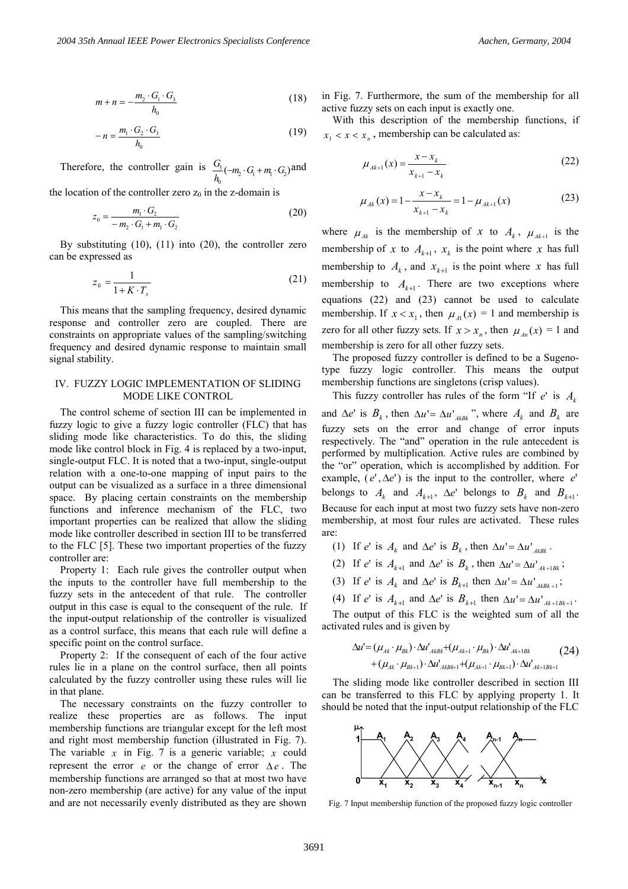$$
m + n = -\frac{m_2 \cdot G_1 \cdot G_3}{h_0} \tag{18}
$$

$$
-n = \frac{m_1 \cdot G_2 \cdot G_3}{h_0} \tag{19}
$$

Therefore, the controller gain is  $\frac{G_3}{h_0}(-m_2 \cdot G_1 + m_1 \cdot G_2)$  $\frac{G_3}{h_0}$   $\left(-m_2 \cdot G_1 + m_1 \cdot G_2\right)$  $\frac{G_3}{(m \cdot G + m \cdot G)}$  and

the location of the controller zero  $z_0$  in the z-domain is

$$
z_0 = \frac{m_1 \cdot G_2}{-m_2 \cdot G_1 + m_1 \cdot G_2} \tag{20}
$$

By substituting (10), (11) into (20), the controller zero can be expressed as

$$
z_0 = \frac{1}{1 + K \cdot T_s} \tag{21}
$$

This means that the sampling frequency, desired dynamic response and controller zero are coupled. There are constraints on appropriate values of the sampling/switching frequency and desired dynamic response to maintain small signal stability.

### IV. FUZZY LOGIC IMPLEMENTATION OF SLIDING MODE LIKE CONTROL

The control scheme of section III can be implemented in fuzzy logic to give a fuzzy logic controller (FLC) that has sliding mode like characteristics. To do this, the sliding mode like control block in Fig. 4 is replaced by a two-input, single-output FLC. It is noted that a two-input, single-output relation with a one-to-one mapping of input pairs to the output can be visualized as a surface in a three dimensional space. By placing certain constraints on the membership functions and inference mechanism of the FLC, two important properties can be realized that allow the sliding mode like controller described in section III to be transferred to the FLC [5]. These two important properties of the fuzzy controller are:

Property 1: Each rule gives the controller output when the inputs to the controller have full membership to the fuzzy sets in the antecedent of that rule. The controller output in this case is equal to the consequent of the rule. If the input-output relationship of the controller is visualized as a control surface, this means that each rule will define a specific point on the control surface.

Property 2: If the consequent of each of the four active rules lie in a plane on the control surface, then all points calculated by the fuzzy controller using these rules will lie in that plane.

The necessary constraints on the fuzzy controller to realize these properties are as follows. The input membership functions are triangular except for the left most and right most membership function (illustrated in Fig. 7). The variable  $x$  in Fig. 7 is a generic variable;  $x$  could represent the error  $e$  or the change of error  $\Delta e$ . The membership functions are arranged so that at most two have non-zero membership (are active) for any value of the input and are not necessarily evenly distributed as they are shown in Fig. 7. Furthermore, the sum of the membership for all active fuzzy sets on each input is exactly one.

With this description of the membership functions, if  $x_1 < x < x_2$ , membership can be calculated as:

$$
\mu_{A_{k+1}}(x) = \frac{x - x_k}{x_{k+1} - x_k} \tag{22}
$$

$$
\mu_{Ak}(x) = 1 - \frac{x - x_k}{x_{k+1} - x_k} = 1 - \mu_{Ak+1}(x)
$$
\n(23)

where  $\mu_{A_k}$  is the membership of *x* to  $A_k$ ,  $\mu_{A_{k+1}}$  is the membership of *x* to  $A_{k+1}$ ,  $x_k$  is the point where *x* has full membership to  $A_k$ , and  $x_{k+1}$  is the point where x has full membership to  $A_{k+1}$ . There are two exceptions where equations (22) and (23) cannot be used to calculate membership. If  $x < x_1$ , then  $\mu_{A1}(x) = 1$  and membership is zero for all other fuzzy sets. If  $x > x_n$ , then  $\mu_{An}(x) = 1$  and membership is zero for all other fuzzy sets.

The proposed fuzzy controller is defined to be a Sugenotype fuzzy logic controller. This means the output membership functions are singletons (crisp values).

This fuzzy controller has rules of the form "If *e*' is *Ak* and  $\Delta e'$  is  $B_k$ , then  $\Delta u' = \Delta u'_{Ak}$ , where  $A_k$  and  $B_k$  are fuzzy sets on the error and change of error inputs respectively. The "and" operation in the rule antecedent is performed by multiplication. Active rules are combined by the "or" operation, which is accomplished by addition. For example,  $(e', \Delta e')$  is the input to the controller, where  $e'$ belongs to  $A_k$  and  $A_{k+1}$ ,  $\Delta e^i$  belongs to  $B_k$  and  $B_{k+1}$ . Because for each input at most two fuzzy sets have non-zero membership, at most four rules are activated. These rules are:

- (1) If *e*' is  $A_k$  and  $\Delta e'$  is  $B_k$ , then  $\Delta u' = \Delta u'_{A k B k}$ .
- (2) If *e*' is  $A_{k+1}$  and  $\Delta e'$  is  $B_k$ , then  $\Delta u' = \Delta u'_{Ak+1Bk}$ ;
- (3) If *e*' is  $A_k$  and  $\Delta e'$  is  $B_{k+1}$  then  $\Delta u' = \Delta u'_{A k B k+1}$ ;
- (4) If *e*' is  $A_{k+1}$  and  $\Delta e'$  is  $B_{k+1}$  then  $\Delta u' = \Delta u'_{Ak+1Bk+1}$ .

The output of this FLC is the weighted sum of all the activated rules and is given by

$$
\Delta u' = (\mu_{Ak} \cdot \mu_{Bk}) \cdot \Delta u'_{AkBk} + (\mu_{Ak+1} \cdot \mu_{Bk}) \cdot \Delta u'_{Ak+1Bk} + (\mu_{Ak} \cdot \mu_{Bk+1}) \cdot \Delta u'_{AkBk+1} + (\mu_{Ak+1} \cdot \mu_{Bk+1}) \cdot \Delta u'_{Ak+1Bk+1}
$$
(24)

The sliding mode like controller described in section III can be transferred to this FLC by applying property 1. It should be noted that the input-output relationship of the FLC



Fig. 7 Input membership function of the proposed fuzzy logic controller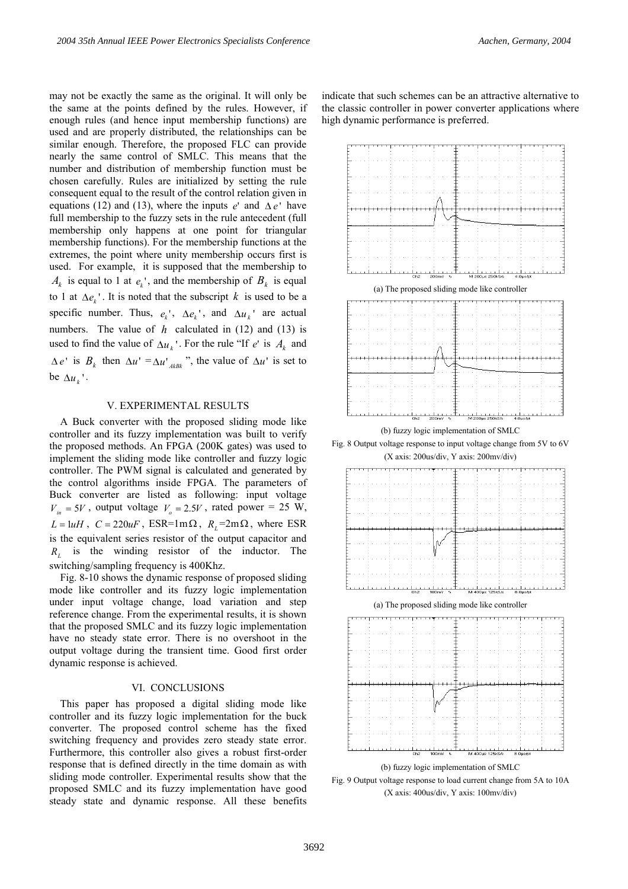may not be exactly the same as the original. It will only be the same at the points defined by the rules. However, if enough rules (and hence input membership functions) are used and are properly distributed, the relationships can be similar enough. Therefore, the proposed FLC can provide nearly the same control of SMLC. This means that the number and distribution of membership function must be chosen carefully. Rules are initialized by setting the rule consequent equal to the result of the control relation given in equations (12) and (13), where the inputs  $e'$  and  $\Delta e'$  have full membership to the fuzzy sets in the rule antecedent (full membership only happens at one point for triangular membership functions). For the membership functions at the extremes, the point where unity membership occurs first is used. For example, it is supposed that the membership to  $A_k$  is equal to 1 at  $e_k$ <sup>*, and the membership of*  $B_k$  *is equal*</sup> to 1 at  $\Delta e_k$ <sup>'</sup>. It is noted that the subscript *k* is used to be a specific number. Thus,  $e_k$ <sup>'</sup>,  $\Delta e_k$ <sup>'</sup>, and  $\Delta u_k$ <sup>'</sup> are actual numbers. The value of  $h$  calculated in (12) and (13) is used to find the value of  $\Delta u_k$ . For the rule "If *e*' is  $A_k$  and  $\Delta e'$  is  $B_k$  then  $\Delta u' = \Delta u'_{ABk}$  *i*, the value of  $\Delta u'$  is set to be  $\Delta u$   $\cdot$ 

## V. EXPERIMENTAL RESULTS

A Buck converter with the proposed sliding mode like controller and its fuzzy implementation was built to verify the proposed methods. An FPGA (200K gates) was used to implement the sliding mode like controller and fuzzy logic controller. The PWM signal is calculated and generated by the control algorithms inside FPGA. The parameters of Buck converter are listed as following: input voltage  $V_{in}$  = 5*V*, output voltage  $V_o$  = 2.5*V*, rated power = 25 W,  $L = 1uH$ ,  $C = 220uF$ ,  $ESR = 1m\Omega$ ,  $R_L = 2m\Omega$ , where ESR is the equivalent series resistor of the output capacitor and *RL* is the winding resistor of the inductor. The switching/sampling frequency is 400Khz.

Fig. 8-10 shows the dynamic response of proposed sliding mode like controller and its fuzzy logic implementation under input voltage change, load variation and step reference change. From the experimental results, it is shown that the proposed SMLC and its fuzzy logic implementation have no steady state error. There is no overshoot in the output voltage during the transient time. Good first order dynamic response is achieved.

#### VI. CONCLUSIONS

This paper has proposed a digital sliding mode like controller and its fuzzy logic implementation for the buck converter. The proposed control scheme has the fixed switching frequency and provides zero steady state error. Furthermore, this controller also gives a robust first-order response that is defined directly in the time domain as with sliding mode controller. Experimental results show that the proposed SMLC and its fuzzy implementation have good steady state and dynamic response. All these benefits

indicate that such schemes can be an attractive alternative to the classic controller in power converter applications where high dynamic performance is preferred.



Fig. 9 Output voltage response to load current change from 5A to 10A (X axis: 400us/div, Y axis: 100mv/div)